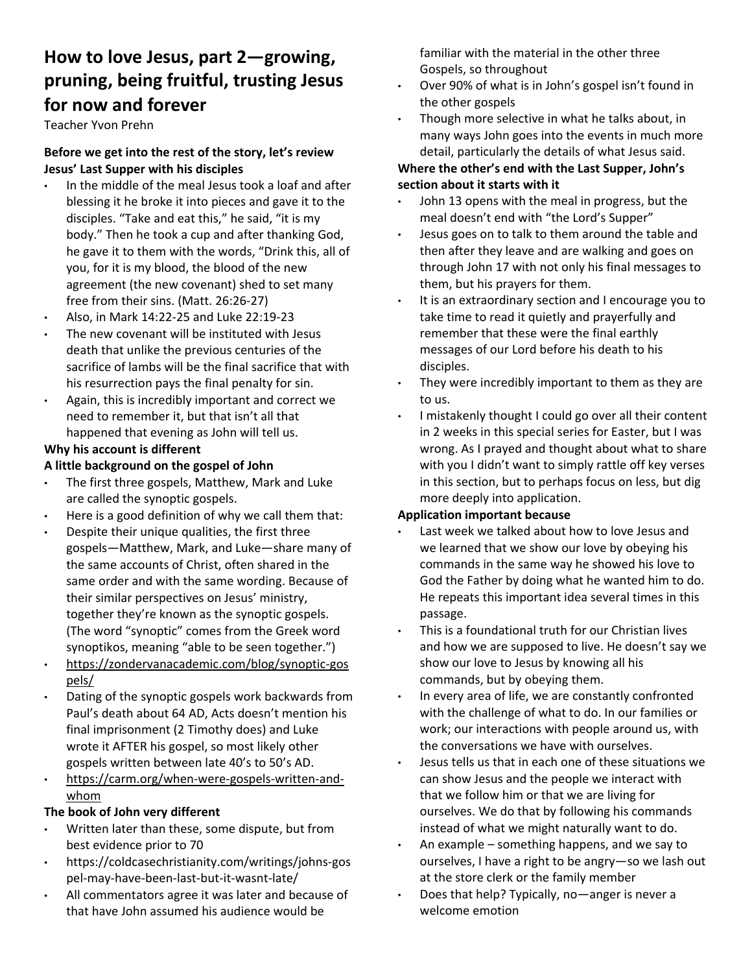# **How to love Jesus, part 2—growing, pruning, being fruitful, trusting Jesus for now and forever**

Teacher Yvon Prehn

# **Before we get into the rest of the story, let's review Jesus' Last Supper with his disciples**

- In the middle of the meal Jesus took a loaf and after blessing it he broke it into pieces and gave it to the disciples. "Take and eat this," he said, "it is my body." Then he took a cup and after thanking God, he gave it to them with the words, "Drink this, all of you, for it is my blood, the blood of the new agreement (the new covenant) shed to set many free from their sins. (Matt. 26:26‐27)
- Also, in Mark 14:22‐25 and Luke 22:19‐23
- The new covenant will be instituted with Jesus death that unlike the previous centuries of the sacrifice of lambs will be the final sacrifice that with his resurrection pays the final penalty for sin.
- Again, this is incredibly important and correct we need to remember it, but that isn't all that happened that evening as John will tell us.

# **Why his account is different**

# **A little background on the gospel of John**

- The first three gospels, Matthew, Mark and Luke are called the synoptic gospels.
- Here is a good definition of why we call them that:
- Despite their unique qualities, the first three gospels—Matthew, Mark, and Luke—share many of the same accounts of Christ, often shared in the same order and with the same wording. Because of their similar perspectives on Jesus' ministry, together they're known as the synoptic gospels. (The word "synoptic" comes from the Greek word synoptikos, meaning "able to be seen together.")
- https://zondervanacademic.com/blog/synoptic‐gos pels/
- Dating of the synoptic gospels work backwards from Paul's death about 64 AD, Acts doesn't mention his final imprisonment (2 Timothy does) and Luke wrote it AFTER his gospel, so most likely other gospels written between late 40's to 50's AD.
- https://carm.org/when‐were‐gospels‐written‐and‐ whom

#### **The book of John very different**

- Written later than these, some dispute, but from best evidence prior to 70
- https://coldcasechristianity.com/writings/johns‐gos pel‐may‐have‐been‐last‐but‐it‐wasnt‐late/
- All commentators agree it was later and because of that have John assumed his audience would be

familiar with the material in the other three Gospels, so throughout

- Over 90% of what is in John's gospel isn't found in the other gospels
- Though more selective in what he talks about, in many ways John goes into the events in much more detail, particularly the details of what Jesus said.

# **Where the other's end with the Last Supper, John's section about it starts with it**

- John 13 opens with the meal in progress, but the meal doesn't end with "the Lord's Supper"
- Jesus goes on to talk to them around the table and then after they leave and are walking and goes on through John 17 with not only his final messages to them, but his prayers for them.
- It is an extraordinary section and I encourage you to take time to read it quietly and prayerfully and remember that these were the final earthly messages of our Lord before his death to his disciples.
- They were incredibly important to them as they are to us.
- I mistakenly thought I could go over all their content in 2 weeks in this special series for Easter, but I was wrong. As I prayed and thought about what to share with you I didn't want to simply rattle off key verses in this section, but to perhaps focus on less, but dig more deeply into application.

# **Application important because**

- Last week we talked about how to love Jesus and we learned that we show our love by obeying his commands in the same way he showed his love to God the Father by doing what he wanted him to do. He repeats this important idea several times in this passage.
- This is a foundational truth for our Christian lives and how we are supposed to live. He doesn't say we show our love to Jesus by knowing all his commands, but by obeying them.
- In every area of life, we are constantly confronted with the challenge of what to do. In our families or work; our interactions with people around us, with the conversations we have with ourselves.
- Jesus tells us that in each one of these situations we can show Jesus and the people we interact with that we follow him or that we are living for ourselves. We do that by following his commands instead of what we might naturally want to do.
- An example something happens, and we say to ourselves, I have a right to be angry—so we lash out at the store clerk or the family member
- Does that help? Typically, no—anger is never a welcome emotion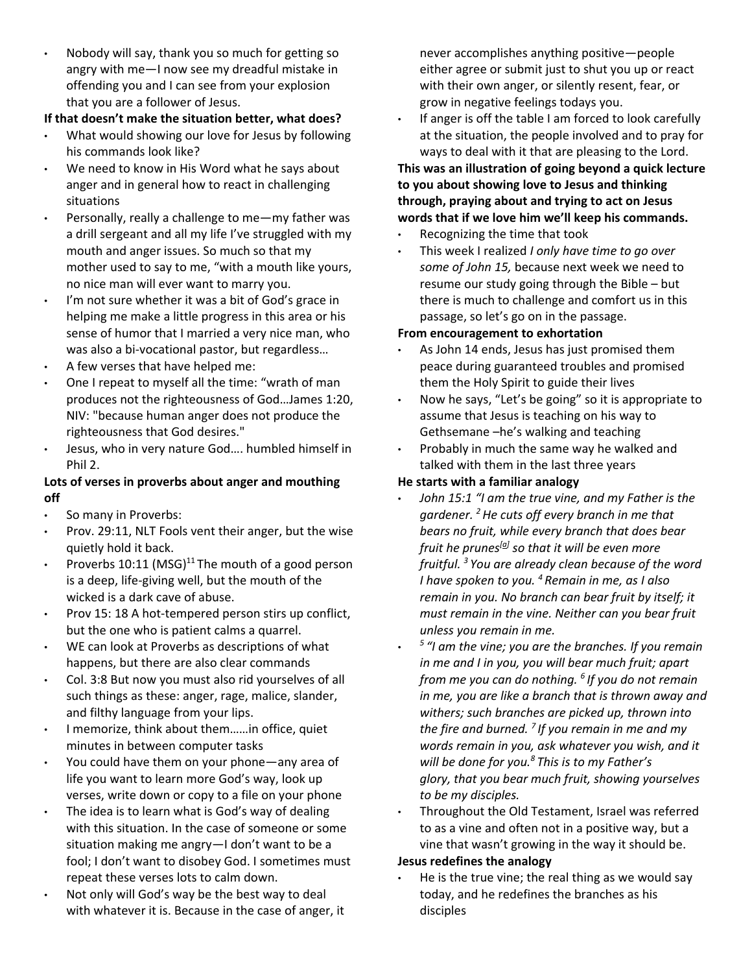• Nobody will say, thank you so much for getting so angry with me—I now see my dreadful mistake in offending you and I can see from your explosion that you are a follower of Jesus.

# **If that doesn't make the situation better, what does?**

- What would showing our love for Jesus by following his commands look like?
- We need to know in His Word what he says about anger and in general how to react in challenging situations
- Personally, really a challenge to me-my father was a drill sergeant and all my life I've struggled with my mouth and anger issues. So much so that my mother used to say to me, "with a mouth like yours, no nice man will ever want to marry you.
- I'm not sure whether it was a bit of God's grace in helping me make a little progress in this area or his sense of humor that I married a very nice man, who was also a bi-vocational pastor, but regardless...
- A few verses that have helped me:
- One I repeat to myself all the time: "wrath of man produces not the righteousness of God…James 1:20, NIV: "because human anger does not produce the righteousness that God desires."
- Jesus, who in very nature God…. humbled himself in Phil 2.

# **Lots of verses in proverbs about anger and mouthing off**

- So many in Proverbs:
- Prov. 29:11, NLT Fools vent their anger, but the wise quietly hold it back.
- Proverbs 10:11 (MSG)<sup>11</sup> The mouth of a good person is a deep, life‐giving well, but the mouth of the wicked is a dark cave of abuse.
- Prov 15: 18 A hot-tempered person stirs up conflict, but the one who is patient calms a quarrel.
- WE can look at Proverbs as descriptions of what happens, but there are also clear commands
- Col. 3:8 But now you must also rid yourselves of all such things as these: anger, rage, malice, slander, and filthy language from your lips.
- I memorize, think about them……in office, quiet minutes in between computer tasks
- You could have them on your phone—any area of life you want to learn more God's way, look up verses, write down or copy to a file on your phone
- The idea is to learn what is God's way of dealing with this situation. In the case of someone or some situation making me angry—I don't want to be a fool; I don't want to disobey God. I sometimes must repeat these verses lots to calm down.
- Not only will God's way be the best way to deal with whatever it is. Because in the case of anger, it

never accomplishes anything positive—people either agree or submit just to shut you up or react with their own anger, or silently resent, fear, or grow in negative feelings todays you.

• If anger is off the table I am forced to look carefully at the situation, the people involved and to pray for ways to deal with it that are pleasing to the Lord.

# **This was an illustration of going beyond a quick lecture to you about showing love to Jesus and thinking through, praying about and trying to act on Jesus words that if we love him we'll keep his commands.**

- Recognizing the time that took
- This week I realized *I only have time to go over some of John 15,* because next week we need to resume our study going through the Bible – but there is much to challenge and comfort us in this passage, so let's go on in the passage.

# **From encouragement to exhortation**

- As John 14 ends, Jesus has just promised them peace during guaranteed troubles and promised them the Holy Spirit to guide their lives
- Now he says, "Let's be going" so it is appropriate to assume that Jesus is teaching on his way to Gethsemane –he's walking and teaching
- Probably in much the same way he walked and talked with them in the last three years

# **He starts with a familiar analogy**

- *John 15:1 "I am the true vine, and my Father is the gardener. 2 He cuts off every branch in me that bears no fruit, while every branch that does bear fruit he prunes[a] so that it will be even more fruitful. 3 You are already clean because of the word I have spoken to you. 4 Remain in me, as I also remain in you. No branch can bear fruit by itself; it must remain in the vine. Neither can you bear fruit unless you remain in me.*
- *5 "I am the vine; you are the branches. If you remain in me and I in you, you will bear much fruit; apart from me you can do nothing. 6 If you do not remain in me, you are like a branch that is thrown away and withers; such branches are picked up, thrown into the fire and burned. 7 If you remain in me and my words remain in you, ask whatever you wish, and it will be done for you.8 This is to my Father's glory, that you bear much fruit, showing yourselves to be my disciples.*
- Throughout the Old Testament, Israel was referred to as a vine and often not in a positive way, but a vine that wasn't growing in the way it should be.

# **Jesus redefines the analogy**

He is the true vine; the real thing as we would say today, and he redefines the branches as his disciples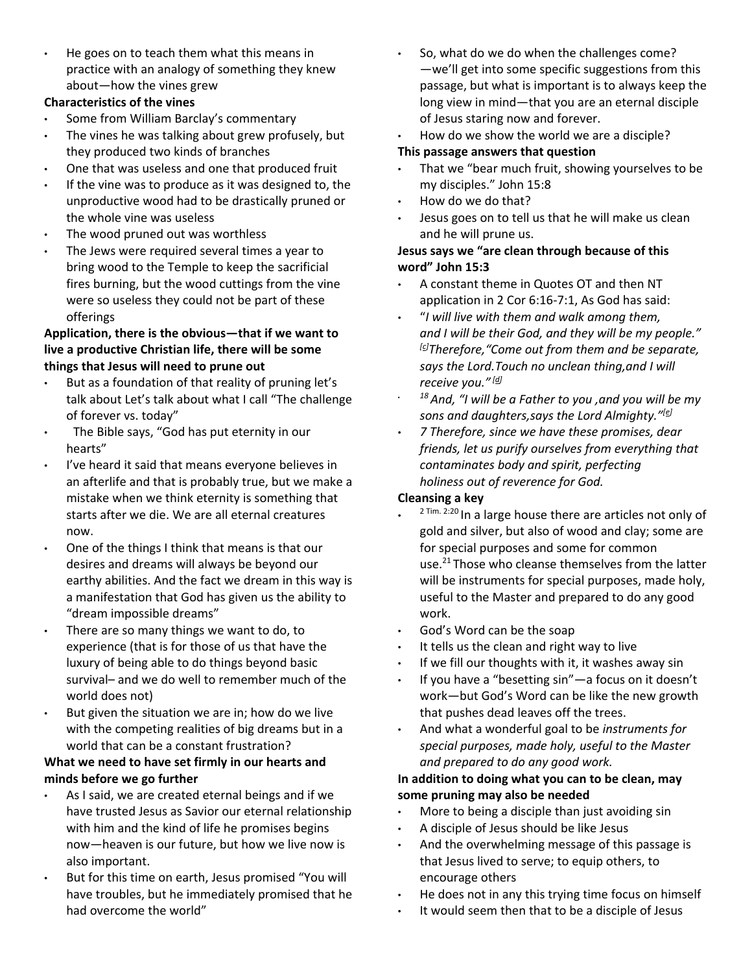• He goes on to teach them what this means in practice with an analogy of something they knew about—how the vines grew

#### **Characteristics of the vines**

- Some from William Barclay's commentary
- The vines he was talking about grew profusely, but they produced two kinds of branches
- One that was useless and one that produced fruit
- If the vine was to produce as it was designed to, the unproductive wood had to be drastically pruned or the whole vine was useless
- The wood pruned out was worthless
- The Jews were required several times a year to bring wood to the Temple to keep the sacrificial fires burning, but the wood cuttings from the vine were so useless they could not be part of these offerings

#### **Application, there is the obvious—that if we want to live a productive Christian life, there will be some things that Jesus will need to prune out**

- But as a foundation of that reality of pruning let's talk about Let's talk about what I call "The challenge of forever vs. today"
- The Bible says, "God has put eternity in our hearts"
- I've heard it said that means everyone believes in an afterlife and that is probably true, but we make a mistake when we think eternity is something that starts after we die. We are all eternal creatures now.
- One of the things I think that means is that our desires and dreams will always be beyond our earthy abilities. And the fact we dream in this way is a manifestation that God has given us the ability to "dream impossible dreams"
- There are so many things we want to do, to experience (that is for those of us that have the luxury of being able to do things beyond basic survival– and we do well to remember much of the world does not)
- But given the situation we are in; how do we live with the competing realities of big dreams but in a world that can be a constant frustration?

# **What we need to have set firmly in our hearts and minds before we go further**

- As I said, we are created eternal beings and if we have trusted Jesus as Savior our eternal relationship with him and the kind of life he promises begins now—heaven is our future, but how we live now is also important.
- But for this time on earth, Jesus promised "You will have troubles, but he immediately promised that he had overcome the world"
- So, what do we do when the challenges come? —we'll get into some specific suggestions from this passage, but what is important is to always keep the long view in mind—that you are an eternal disciple of Jesus staring now and forever.
- How do we show the world we are a disciple?

# **This passage answers that question**

- That we "bear much fruit, showing yourselves to be my disciples." John 15:8
- How do we do that?
- Jesus goes on to tell us that he will make us clean and he will prune us.

# **Jesus says we "are clean through because of this word" John 15:3**

- A constant theme in Quotes OT and then NT application in 2 Cor 6:16‐7:1, As God has said:
- "*I will live with them and walk among them, and I will be their God, and they will be my people." [c]Therefore,"Come out from them and be separate, says the Lord.Touch no unclean thing,and I will receive you." [d]*
- *18 And, "I will be a Father to you ,and you will be my sons and daughters,says the Lord Almighty."[e]*
- *7 Therefore, since we have these promises, dear friends, let us purify ourselves from everything that contaminates body and spirit, perfecting holiness out of reverence for God.*

# **Cleansing a key**

- 2 Tim. 2:20 In a large house there are articles not only of gold and silver, but also of wood and clay; some are for special purposes and some for common use.<sup>21</sup> Those who cleanse themselves from the latter will be instruments for special purposes, made holy, useful to the Master and prepared to do any good work.
- God's Word can be the soap
- It tells us the clean and right way to live
- If we fill our thoughts with it, it washes away sin
- If you have a "besetting sin"—a focus on it doesn't work—but God's Word can be like the new growth that pushes dead leaves off the trees.
- And what a wonderful goal to be *instruments for special purposes, made holy, useful to the Master and prepared to do any good work.*

# **In addition to doing what you can to be clean, may some pruning may also be needed**

- More to being a disciple than just avoiding sin
- A disciple of Jesus should be like Jesus
- And the overwhelming message of this passage is that Jesus lived to serve; to equip others, to encourage others
- He does not in any this trying time focus on himself
- It would seem then that to be a disciple of Jesus